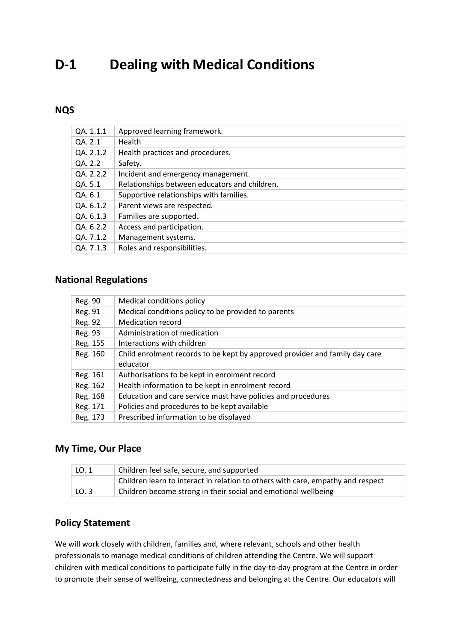# **D-1 Dealing with Medical Conditions**

## **NQS**

| QA. 1.1.1 | Approved learning framework.                  |
|-----------|-----------------------------------------------|
| QA. 2.1   | <b>Health</b>                                 |
| QA. 2.1.2 | Health practices and procedures.              |
| QA. 2.2   | Safety.                                       |
| QA. 2.2.2 | Incident and emergency management.            |
| QA. 5.1   | Relationships between educators and children. |
| QA. 6.1   | Supportive relationships with families.       |
| QA. 6.1.2 | Parent views are respected.                   |
| QA. 6.1.3 | Families are supported.                       |
| QA. 6.2.2 | Access and participation.                     |
| QA. 7.1.2 | Management systems.                           |
| QA. 7.1.3 | Roles and responsibilities.                   |

#### **National Regulations**

| Reg. 90  | Medical conditions policy                                                   |
|----------|-----------------------------------------------------------------------------|
| Reg. 91  | Medical conditions policy to be provided to parents                         |
| Reg. 92  | <b>Medication record</b>                                                    |
| Reg. 93  | Administration of medication                                                |
| Reg. 155 | Interactions with children                                                  |
| Reg. 160 | Child enrolment records to be kept by approved provider and family day care |
|          | educator                                                                    |
| Reg. 161 | Authorisations to be kept in enrolment record                               |
| Reg. 162 | Health information to be kept in enrolment record                           |
| Reg. 168 | Education and care service must have policies and procedures                |
| Reg. 171 | Policies and procedures to be kept available                                |
| Reg. 173 | Prescribed information to be displayed                                      |

## **My Time, Our Place**

| LO. 1        | Children feel safe, secure, and supported                                       |
|--------------|---------------------------------------------------------------------------------|
|              | Children learn to interact in relation to others with care, empathy and respect |
| $\vert$ LO.3 | Children become strong in their social and emotional wellbeing                  |

## **Policy Statement**

We will work closely with children, families and, where relevant, schools and other health professionals to manage medical conditions of children attending the Centre. We will support children with medical conditions to participate fully in the day-to-day program at the Centre in order to promote their sense of wellbeing, connectedness and belonging at the Centre. Our educators will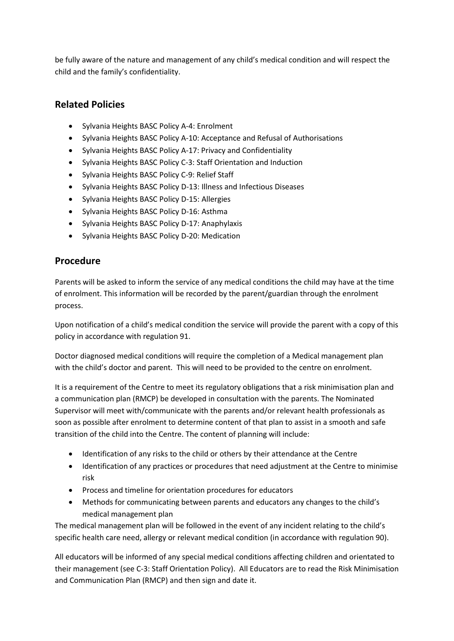be fully aware of the nature and management of any child's medical condition and will respect the child and the family's confidentiality.

### **Related Policies**

- Sylvania Heights BASC Policy A-4: Enrolment
- Sylvania Heights BASC Policy A-10: Acceptance and Refusal of Authorisations
- Sylvania Heights BASC Policy A-17: Privacy and Confidentiality
- Sylvania Heights BASC Policy C-3: Staff Orientation and Induction
- Sylvania Heights BASC Policy C-9: Relief Staff
- Sylvania Heights BASC Policy D-13: Illness and Infectious Diseases
- Sylvania Heights BASC Policy D-15: Allergies
- Sylvania Heights BASC Policy D-16: Asthma
- Sylvania Heights BASC Policy D-17: Anaphylaxis
- Sylvania Heights BASC Policy D-20: Medication

## **Procedure**

Parents will be asked to inform the service of any medical conditions the child may have at the time of enrolment. This information will be recorded by the parent/guardian through the enrolment process.

Upon notification of a child's medical condition the service will provide the parent with a copy of this policy in accordance with regulation 91.

Doctor diagnosed medical conditions will require the completion of a Medical management plan with the child's doctor and parent. This will need to be provided to the centre on enrolment.

It is a requirement of the Centre to meet its regulatory obligations that a risk minimisation plan and a communication plan (RMCP) be developed in consultation with the parents. The Nominated Supervisor will meet with/communicate with the parents and/or relevant health professionals as soon as possible after enrolment to determine content of that plan to assist in a smooth and safe transition of the child into the Centre. The content of planning will include:

- Identification of any risks to the child or others by their attendance at the Centre
- Identification of any practices or procedures that need adjustment at the Centre to minimise risk
- Process and timeline for orientation procedures for educators
- Methods for communicating between parents and educators any changes to the child's medical management plan

The medical management plan will be followed in the event of any incident relating to the child's specific health care need, allergy or relevant medical condition (in accordance with regulation 90).

All educators will be informed of any special medical conditions affecting children and orientated to their management (see C-3: Staff Orientation Policy). All Educators are to read the Risk Minimisation and Communication Plan (RMCP) and then sign and date it.